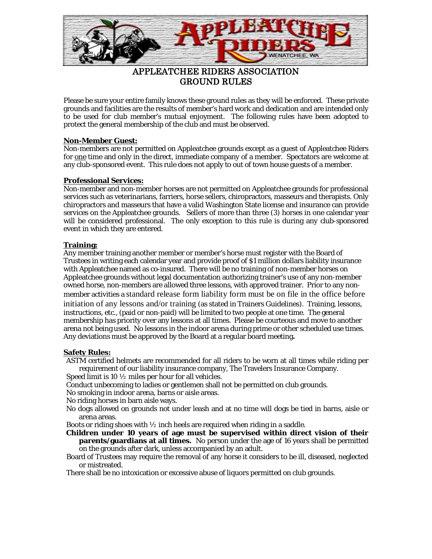

# GROUND RULES

Please be sure your entire family knows these ground rules as they will be enforced. These private grounds and facilities are the results of member's hard work and dedication and are intended only to be used for club member's mutual enjoyment. The following rules have been adopted to protect the general membership of the club and must be observed.

## **Non-Member Guest:**

Non-members are not permitted on Appleatchee grounds except as a guest of Appleatchee Riders for one time and only in the direct, immediate company of a member. Spectators are welcome at any club-sponsored event. This rule does not apply to out of town house guests of a member.

## **Professional Services:**

Non-member and non-member horses are not permitted on Appleatchee grounds for professional services such as veterinarians, farriers, horse sellers, chiropractors, masseurs and therapists. Only chiropractors and masseurs that have a valid Washington State license and insurance can provide services on the Appleatchee grounds. Sellers of more than three (3) horses in one calendar year will be considered professional. The only exception to this rule is during any club-sponsored event in which they are entered.

## **Training:**

Any member training another member or member's horse must register with the Board of Trustees in writing each calendar year and provide proof of \$1 million dollars liability insurance with Appleatchee named as co-insured. There will be no training of non-member horses on Appleatchee grounds without legal documentation authorizing trainer's use of any non-member owned horse, non-members are allowed three lessons, with approved trainer. Prior to any nonmember activities a standard release form liability form must be on file in the office before initiation of any lessons and/or training (as stated in Trainers Guidelines). Training, lessons, instructions, etc., (paid or non-paid) will be limited to two people at one time. The general membership has priority over any lessons at all times. Please be courteous and move to another arena not being used. No lessons in the indoor arena during prime or other scheduled use times. Any deviations must be approved by the Board at a regular board meeting**.**

#### **Safety Rules:**

ASTM certified helmets are recommended for all riders to be worn at all times while riding per requirement of our liability insurance company, The Travelers Insurance Company.

- Speed limit is 10 ½ miles per hour for all vehicles.
- Conduct unbecoming to ladies or gentlemen shall not be permitted on club grounds.

No smoking in indoor arena, barns or aisle areas.

No riding horses in barn aisle ways.

No dogs allowed on grounds not under leash and at no time will dogs be tied in barns, aisle or arena areas.

Boots or riding shoes with  $\frac{1}{2}$  inch heels are required when riding in a saddle.

**Children under 10 years of age must be supervised within direct vision of their parents/guardians at all times.** No person under the age of 16 years shall be permitted on the grounds after dark, unless accompanied by an adult.

Board of Trustees may require the removal of any horse it considers to be ill, diseased, neglected or mistreated.

There shall be no intoxication or excessive abuse of liquors permitted on club grounds.